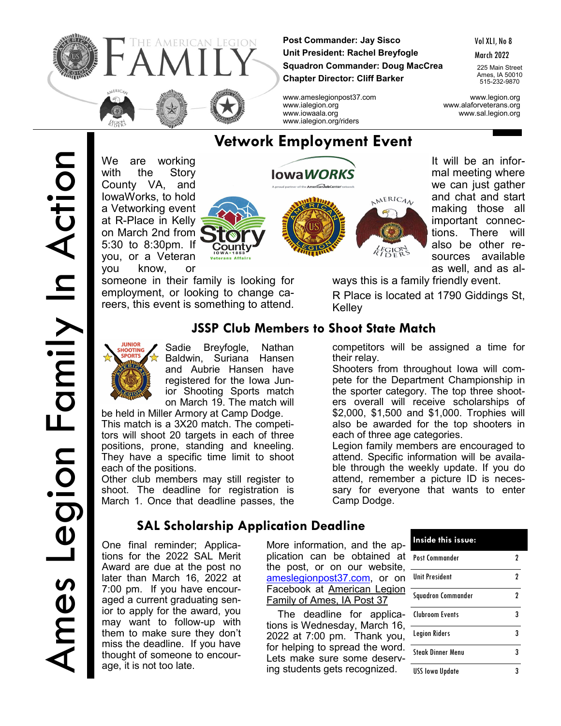

**Post Commander: Jay Sisco Unit President: Rachel Breyfogle Squadron Commander: Doug MacCrea Chapter Director: Cliff Barker**

Vol XLI, No 8

March 2022

225 Main Street Ames, IA 50010 515-232-9870

www.ameslegionpost37.com www.legion.org www.ialegion.org www.alaforveterans.org www.iowaala.org www.sal.legion.org

We are working with the Story County VA, and IowaWorks, to hold a Vetworking event at R-Place in Kelly on March 2nd from 5:30 to 8:30pm. If you, or a Veteran you know, or



someone in their family is looking for employment, or looking to change careers, this event is something to attend.



their relay.

each of three age categories.

It will be an informal meeting where we can just gather and chat and start making those all important connections. There will also be other resources available as well, and as al-

ways this is a family friendly event.

R Place is located at 1790 Giddings St, Kelley

competitors will be assigned a time for

Shooters from throughout Iowa will compete for the Department Championship in the sporter category. The top three shooters overall will receive scholarships of \$2,000, \$1,500 and \$1,000. Trophies will also be awarded for the top shooters in

Legion family members are encouraged to attend. Specific information will be availa-

# **JSSP Club Members to Shoot State Match**

 $G1C$ 



Sadie Breyfogle, Nathan Baldwin, Suriana Hansen and Aubrie Hansen have registered for the Iowa Junior Shooting Sports match

be held in Miller Armory at Camp Dodge. This match is a 3X20 match. The competitors will shoot 20 targets in each of three positions, prone, standing and kneeling. They have a specific time limit to shoot each of the positions.

Other club members may still register to shoot. The deadline for registration is March 1. Once that deadline passes, the

# **SAL Scholarship Application Deadline**

One final reminder; Applications for the 2022 SAL Merit Award are due at the post no later than March 16, 2022 at 7:00 pm. If you have encouraged a current graduating senior to apply for the award, you may want to follow-up with them to make sure they don't miss the deadline. If you have thought of someone to encourage, it is not too late.

on March 19. The match will

ble through the weekly update. If you do attend, remember a picture ID is necessary for everyone that wants to enter Camp Dodge.

> More information, and the application can be obtained at the post, or on our website, [ameslegionpost37.com,](https://ameslegionpost37.com/?fbclid=IwAR3juMp13Guqrlhc99Z1A8h5cXdBpPkRARui5jaqo8UhYTVqjX2PPu2I5sw) or on Facebook at American Legion Family of Ames, IA Post 37

> The deadline for applications is Wednesday, March 16, 2022 at 7:00 pm. Thank you, for helping to spread the word. Lets make sure some deserving students gets recognized.

| Inside this issue:       |   |
|--------------------------|---|
| Post Commander           | 7 |
| Unit President           | 2 |
| Squadron Commander       | 2 |
| Clubroom Events          | 3 |
| <b>Legion Riders</b>     | 3 |
| <b>Steak Dinner Menu</b> | 3 |
| <b>USS</b> lowa Update   |   |

# **Vetwork Employment Event**

www.ialegion.org/riders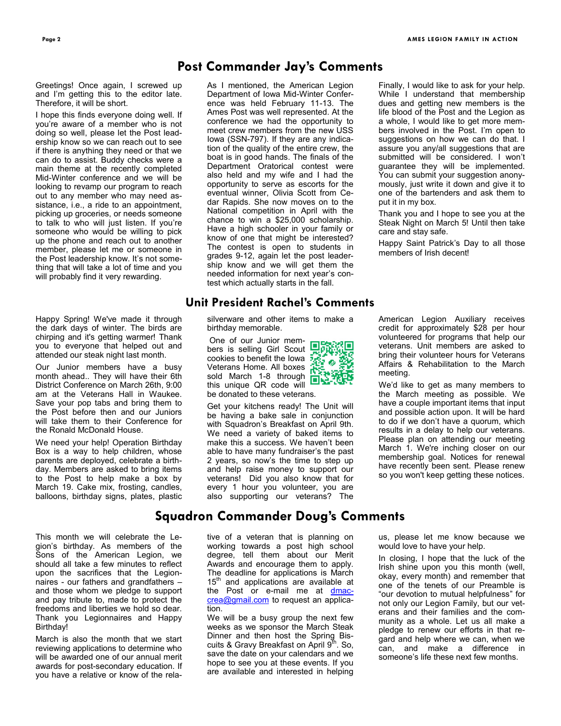# **Post Commander Jay's Comments**

Greetings! Once again, I screwed up and I'm getting this to the editor late. Therefore, it will be short.

I hope this finds everyone doing well. If you're aware of a member who is not doing so well, please let the Post leadership know so we can reach out to see if there is anything they need or that we can do to assist. Buddy checks were a main theme at the recently completed Mid-Winter conference and we will be looking to revamp our program to reach out to any member who may need assistance, i.e., a ride to an appointment, picking up groceries, or needs someone to talk to who will just listen. If you're someone who would be willing to pick up the phone and reach out to another member, please let me or someone in the Post leadership know. It's not something that will take a lot of time and you will probably find it very rewarding.

Happy Spring! We've made it through the dark days of winter. The birds are chirping and it's getting warmer! Thank you to everyone that helped out and attended our steak night last month.

Our Junior members have a busy month ahead.. They will have their 6th District Conference on March 26th, 9:00 am at the Veterans Hall in Waukee. Save your pop tabs and bring them to the Post before then and our Juniors will take them to their Conference for the Ronald McDonald House.

We need your help! Operation Birthday Box is a way to help children, whose parents are deployed, celebrate a birthday. Members are asked to bring items to the Post to help make a box by March 19. Cake mix, frosting, candles, balloons, birthday signs, plates, plastic

This month we will celebrate the Legion's birthday. As members of the Sons of the American Legion, we should all take a few minutes to reflect upon the sacrifices that the Legionnaires - our fathers and grandfathers – and those whom we pledge to support and pay tribute to, made to protect the freedoms and liberties we hold so dear. Thank you Legionnaires and Happy Birthday!

March is also the month that we start reviewing applications to determine who will be awarded one of our annual merit awards for post-secondary education. If you have a relative or know of the relaAs I mentioned, the American Legion Department of Iowa Mid-Winter Conference was held February 11-13. The Ames Post was well represented. At the conference we had the opportunity to meet crew members from the new USS Iowa (SSN-797). If they are any indication of the quality of the entire crew, the boat is in good hands. The finals of the Department Oratorical contest were also held and my wife and I had the opportunity to serve as escorts for the eventual winner, Olivia Scott from Cedar Rapids. She now moves on to the National competition in April with the chance to win a \$25,000 scholarship. Have a high schooler in your family or know of one that might be interested? The contest is open to students in grades 9-12, again let the post leadership know and we will get them the needed information for next year's contest which actually starts in the fall.

#### **Unit President Rachel's Comments**

silverware and other items to make a birthday memorable.

One of our Junior members is selling Girl Scout **Art State** bers is selling on the Iowa<br>cookies to benefit the Iowa Veterans Home. All boxes sold March 1-8 through this unique QR code will be donated to these veterans.



Get your kitchens ready! The Unit will be having a bake sale in conjunction with Squadron's Breakfast on April 9th. We need a variety of baked items to make this a success. We haven't been able to have many fundraiser's the past 2 years, so now's the time to step up and help raise money to support our veterans! Did you also know that for every 1 hour you volunteer, you are also supporting our veterans? The

Finally, I would like to ask for your help. While I understand that membership dues and getting new members is the life blood of the Post and the Legion as a whole, I would like to get more members involved in the Post. I'm open to suggestions on how we can do that. I assure you any/all suggestions that are submitted will be considered. I won't guarantee they will be implemented. You can submit your suggestion anonymously, just write it down and give it to one of the bartenders and ask them to put it in my box.

Thank you and I hope to see you at the Steak Night on March 5! Until then take care and stay safe.

Happy Saint Patrick's Day to all those members of Irish decent!

American Legion Auxiliary receives credit for approximately \$28 per hour volunteered for programs that help our veterans. Unit members are asked to bring their volunteer hours for Veterans Affairs & Rehabilitation to the March meeting.

We'd like to get as many members to the March meeting as possible. We have a couple important items that input and possible action upon. It will be hard to do if we don't have a quorum, which results in a delay to help our veterans. Please plan on attending our meeting March 1. We're inching closer on our membership goal. Notices for renewal have recently been sent. Please renew so you won't keep getting these notices.

#### **Squadron Commander Doug's Comments**

tive of a veteran that is planning on working towards a post high school degree, tell them about our Merit Awards and encourage them to apply. The deadline for applications is March 15<sup>th</sup> and applications are available at the Post or e-mail me at [dmac](mailto:dmaccrea@gmail.com)[crea@gmail.com](mailto:dmaccrea@gmail.com) to request an application.

We will be a busy group the next few weeks as we sponsor the March Steak Dinner and then host the Spring Biscuits & Gravy Breakfast on April  $9^{\text{th}}$ . So, save the date on your calendars and we hope to see you at these events. If you are available and interested in helping

us, please let me know because we would love to have your help.

In closing, I hope that the luck of the Irish shine upon you this month (well, okay, every month) and remember that one of the tenets of our Preamble is "our devotion to mutual helpfulness" for not only our Legion Family, but our veterans and their families and the community as a whole. Let us all make a pledge to renew our efforts in that regard and help where we can, when we can, and make a difference in someone's life these next few months.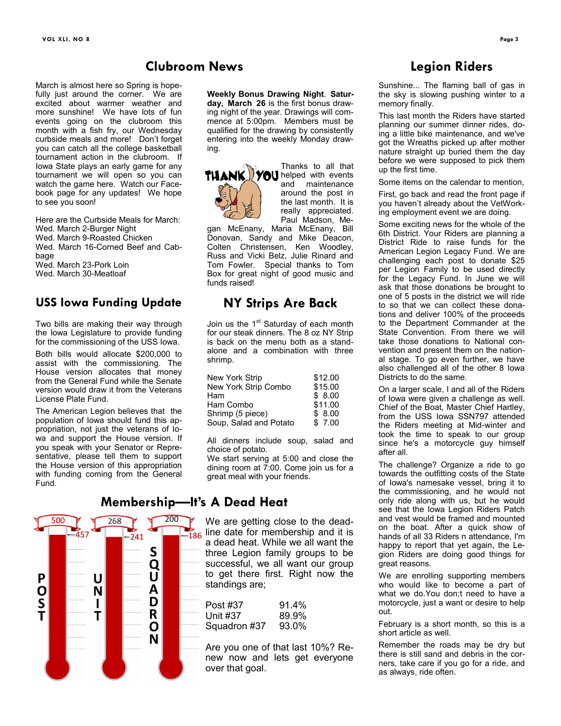#### **Clubroom News**

March is almost here so Spring is hopefully just around the corner. We are excited about warmer weather and more sunshine! We have lots of fun events going on the clubroom this month with a fish fry, our Wednesday curbside meals and more! Don't forget you can catch all the college basketball tournament action in the clubroom. If Iowa State plays an early game for any tournament we will open so you can watch the game here. Watch our Facebook page for any updates! We hope to see you soon!

Here are the Curbside Meals for March: Wed. March 2-Burger Night Wed. March 9-Roasted Chicken Wed. March 16-Corned Beef and Cabbage Wed. March 23-Pork Loin Wed. March 30-Meatloaf

#### **USS Iowa Funding Update**

Two bills are making their way through the Iowa Legislature to provide funding for the commissioning of the USS Iowa.

Both bills would allocate \$200,000 to assist with the commissioning. The House version allocates that money from the General Fund while the Senate version would draw it from the Veterans License Plate Fund.

The American Legion believes that the population of Iowa should fund this appropriation, not just the veterans of Iowa and support the House version. If you speak with your Senator or Representative, please tell them to support the House version of this appropriation with funding coming from the General Fund.



**Weekly Bonus Drawing Night**. **Saturday, March 26** is the first bonus drawing night of the year. Drawings will commence at 5:00pm. Members must be qualified for the drawing by consistently entering into the weekly Monday drawing.



Thanks to all that **THANK VOU** helped with events and maintenance around the post in the last month. It is really appreciated. Paul Madson, Me-

gan McEnany, Maria McEnany, Bill Donovan, Sandy and Mike Deacon, Colten Christensen, Ken Woodley, Russ and Vicki Belz, Julie Rinard and Tom Fowler. Special thanks to Tom Box for great night of good music and funds raised!

# **NY Strips Are Back**

Join us the 1<sup>st</sup> Saturday of each month for our steak dinners. The 8 oz NY Strip is back on the menu both as a standalone and a combination with three shrimp.

| New York Strip         | \$12.00 |
|------------------------|---------|
| New York Strip Combo   | \$15.00 |
| Ham                    | \$8.00  |
| Ham Combo              | \$11.00 |
| Shrimp (5 piece)       | \$8.00  |
| Soup, Salad and Potato | \$7.00  |

All dinners include soup, salad and choice of potato. We start serving at 5:00 and close the

dining room at  $7:00$ . Come join us for a great meal with your friends.

We are getting close to the dead- $\frac{1}{186}$  line date for membership and it is a dead heat. While we all want the three Legion family groups to be successful, we all want our group to get there first. Right now the standings are;

| Post #37     | 91.4% |
|--------------|-------|
| Unit #37     | 89.9% |
| Squadron #37 | 93.0% |

Are you one of that last 10%? Renew now and lets get everyone over that goal.

# **Legion Riders**

Sunshine... The flaming ball of gas in the sky is slowing pushing winter to a memory finally.

This last month the Riders have started planning our summer dinner rides, doing a little bike maintenance, and we've got the Wreaths picked up after mother nature straight up buried them the day before we were supposed to pick them up the first time.

Some items on the calendar to mention,

First, go back and read the front page if you haven't already about the VetWorking employment event we are doing.

Some exciting news for the whole of the 6th District. Your Riders are planning a District Ride to raise funds for the American Legion Legacy Fund. We are challenging each post to donate \$25 per Legion Family to be used directly for the Legacy Fund. In June we will ask that those donations be brought to one of 5 posts in the district we will ride to so that we can collect these donations and deliver 100% of the proceeds to the Department Commander at the State Convention. From there we will take those donations to National convention and present them on the national stage. To go even further, we have also challenged all of the other 8 Iowa Districts to do the same.

On a larger scale, I and all of the Riders of Iowa were given a challenge as well. Chief of the Boat, Master Chief Hartley, from the USS Iowa SSN797 attended the Riders meeting at Mid-winter and took the time to speak to our group since he's a motorcycle guy himself after all.

The challenge? Organize a ride to go towards the outfitting costs of the State of Iowa's namesake vessel, bring it to the commissioning, and he would not only ride along with us, but he would see that the Iowa Legion Riders Patch and vest would be framed and mounted on the boat. After a quick show of hands of all 33 Riders n attendance, I'm happy to report that yet again, the Legion Riders are doing good things for great reasons.

We are enrolling supporting members who would like to become a part of what we do.You don;t need to have a motorcycle, just a want or desire to help out.

February is a short month, so this is a short article as well.

Remember the roads may be dry but there is still sand and debris in the corners, take care if you go for a ride, and as always, ride often.